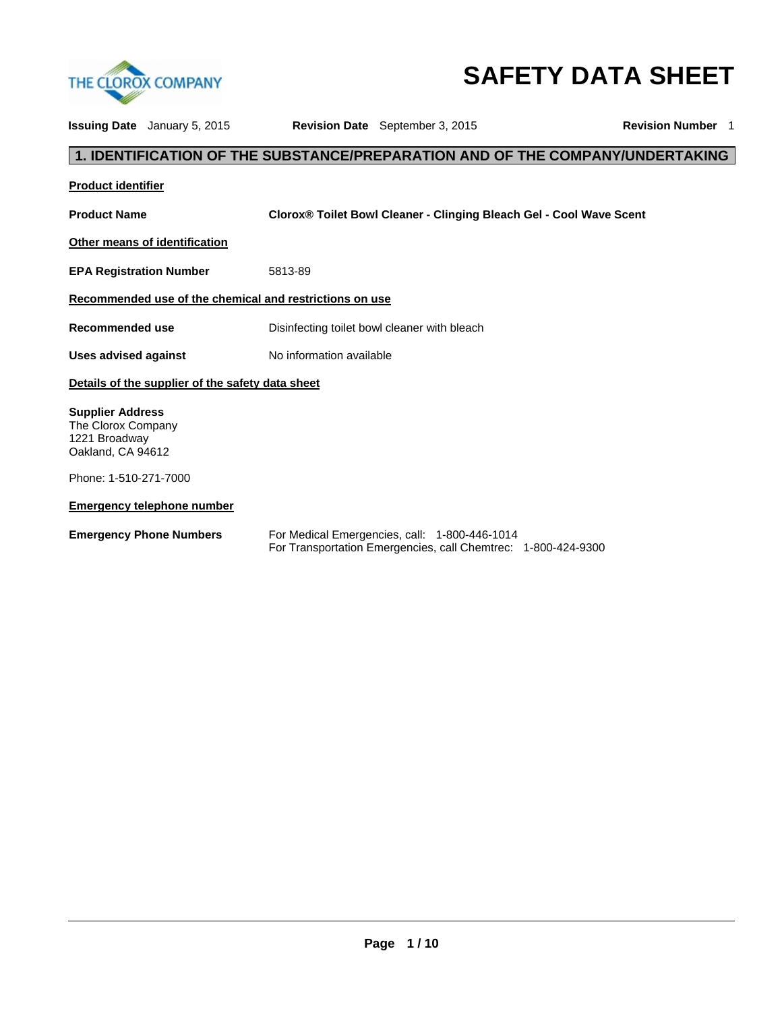

# **SAFETY DATA SHEET**

|                                                                                     | <b>Issuing Date</b> January 5, 2015              |                                                         | <b>Revision Date</b> September 3, 2015                                                                         | <b>Revision Number 1</b>                                                      |  |
|-------------------------------------------------------------------------------------|--------------------------------------------------|---------------------------------------------------------|----------------------------------------------------------------------------------------------------------------|-------------------------------------------------------------------------------|--|
|                                                                                     |                                                  |                                                         |                                                                                                                | 1. IDENTIFICATION OF THE SUBSTANCE/PREPARATION AND OF THE COMPANY/UNDERTAKING |  |
| <b>Product identifier</b>                                                           |                                                  |                                                         |                                                                                                                |                                                                               |  |
| <b>Product Name</b>                                                                 |                                                  |                                                         | <b>Clorox<sup>®</sup> Toilet Bowl Cleaner - Clinging Bleach Gel - Cool Wave Scent</b>                          |                                                                               |  |
|                                                                                     | Other means of identification                    |                                                         |                                                                                                                |                                                                               |  |
| <b>EPA Registration Number</b>                                                      |                                                  | 5813-89                                                 |                                                                                                                |                                                                               |  |
|                                                                                     |                                                  | Recommended use of the chemical and restrictions on use |                                                                                                                |                                                                               |  |
| <b>Recommended use</b>                                                              |                                                  |                                                         | Disinfecting toilet bowl cleaner with bleach                                                                   |                                                                               |  |
| <b>Uses advised against</b>                                                         |                                                  | No information available                                |                                                                                                                |                                                                               |  |
|                                                                                     | Details of the supplier of the safety data sheet |                                                         |                                                                                                                |                                                                               |  |
| <b>Supplier Address</b><br>The Clorox Company<br>1221 Broadway<br>Oakland, CA 94612 |                                                  |                                                         |                                                                                                                |                                                                               |  |
| Phone: 1-510-271-7000                                                               |                                                  |                                                         |                                                                                                                |                                                                               |  |
|                                                                                     | <b>Emergency telephone number</b>                |                                                         |                                                                                                                |                                                                               |  |
|                                                                                     | <b>Emergency Phone Numbers</b>                   |                                                         | For Medical Emergencies, call: 1-800-446-1014<br>For Transportation Emergencies, call Chemtrec: 1-800-424-9300 |                                                                               |  |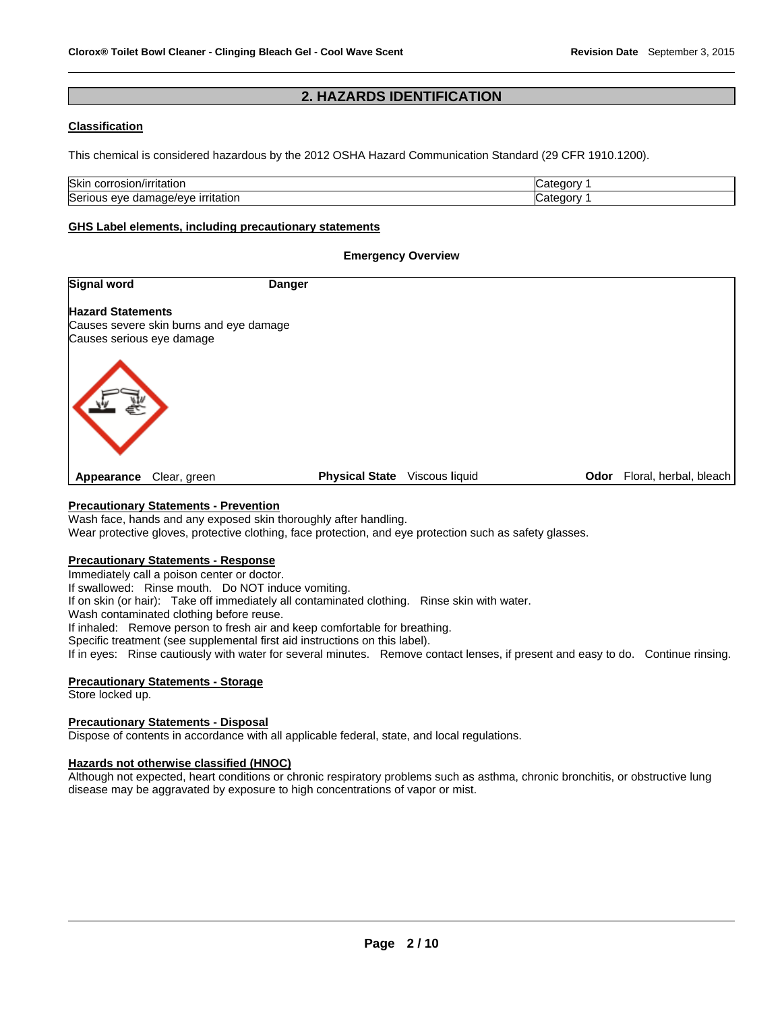# **2. HAZARDS IDENTIFICATION**

# **Classification**

This chemical is considered hazardous by the 2012 OSHA Hazard Communication Standard (29 CFR 1910.1200).

| <b>Skin</b><br>n/irritation<br>rosior<br>COL              | …nterrativ |
|-----------------------------------------------------------|------------|
| $\sim$<br>mage/eve<br>Serious<br>irritation<br>eve<br>aar | شatedor∨   |

#### **GHS Label elements, including precautionary statements**

#### **Emergency Overview**

| <b>Signal word</b>                                                                               | <b>Danger</b>                           |                                |
|--------------------------------------------------------------------------------------------------|-----------------------------------------|--------------------------------|
| <b>Hazard Statements</b><br>Causes severe skin burns and eye damage<br>Causes serious eye damage |                                         |                                |
|                                                                                                  |                                         |                                |
| Clear, green<br>Appearance                                                                       | <b>Physical State</b><br>Viscous liquid | Floral, herbal, bleach<br>Odor |

# **Precautionary Statements - Prevention**

Wash face, hands and any exposed skin thoroughly after handling.

Wear protective gloves, protective clothing, face protection, and eye protection such as safety glasses.

#### **Precautionary Statements - Response**

Immediately call a poison center or doctor.

If swallowed: Rinse mouth. Do NOT induce vomiting.

If on skin (or hair): Take off immediately all contaminated clothing. Rinse skin with water.

Wash contaminated clothing before reuse.

If inhaled: Remove person to fresh air and keep comfortable for breathing.

Specific treatment (see supplemental first aid instructions on this label).

If in eyes: Rinse cautiously with water for several minutes. Remove contact lenses, if present and easy to do. Continue rinsing.

# **Precautionary Statements - Storage**

Store locked up.

#### **Precautionary Statements - Disposal**

Dispose of contents in accordance with all applicable federal, state, and local regulations.

#### **Hazards not otherwise classified (HNOC)**

Although not expected, heart conditions or chronic respiratory problems such as asthma, chronic bronchitis, or obstructive lung disease may be aggravated by exposure to high concentrations of vapor or mist.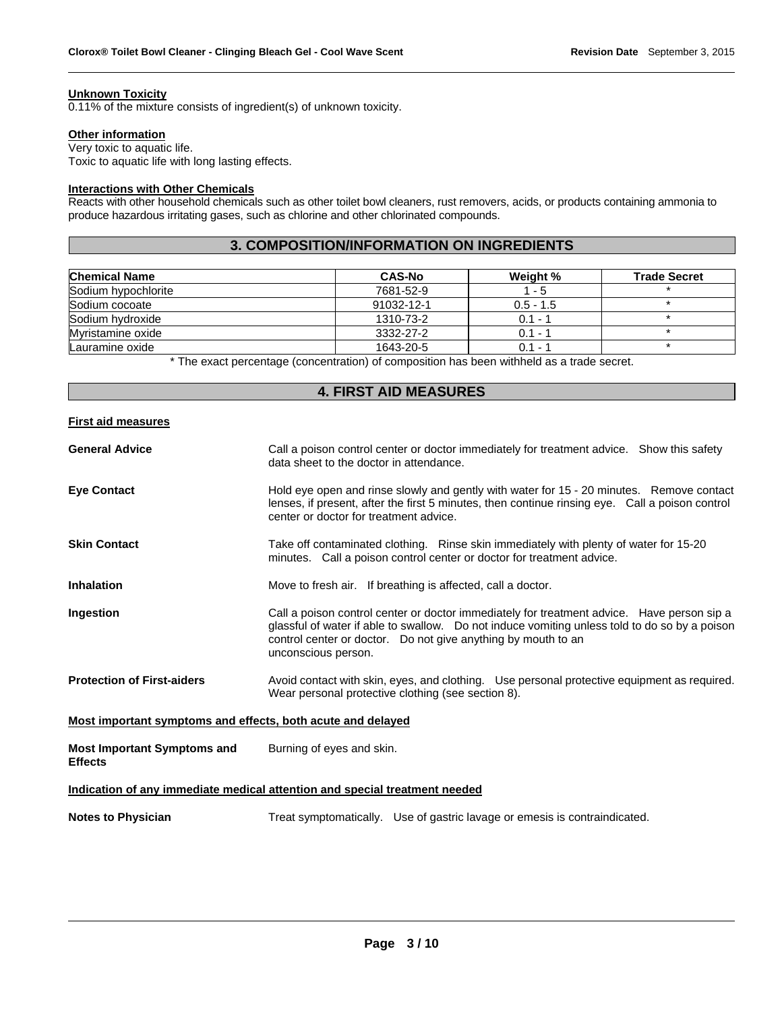#### **Unknown Toxicity**

0.11% of the mixture consists of ingredient(s) of unknown toxicity.

#### **Other information**

Very toxic to aquatic life. Toxic to aquatic life with long lasting effects.

# **Interactions with Other Chemicals**

Reacts with other household chemicals such as other toilet bowl cleaners, rust removers, acids, or products containing ammonia to produce hazardous irritating gases, such as chlorine and other chlorinated compounds.

# **3. COMPOSITION/INFORMATION ON INGREDIENTS**

| <b>Chemical Name</b> | <b>CAS-No</b> | Weight %             | <b>Trade Secret</b> |
|----------------------|---------------|----------------------|---------------------|
| Sodium hypochlorite  | 7681-52-9     | $1 - 5$              |                     |
| Sodium cocoate       | 91032-12-1    | $0.5 - 1.5$          |                     |
| Sodium hydroxide     | 1310-73-2     | $0.1 - ?$            |                     |
| Myristamine oxide    | 3332-27-2     | $0.1 - ?$            |                     |
| Lauramine oxide      | 1643-20-5     | $0.1 -$ <sup>2</sup> |                     |

\* The exact percentage (concentration) of composition has been withheld as a trade secret.

# **4. FIRST AID MEASURES**

## **First aid measures**

| <b>General Advice</b>                                                      | Call a poison control center or doctor immediately for treatment advice. Show this safety<br>data sheet to the doctor in attendance.                                                                                                                                                |  |  |
|----------------------------------------------------------------------------|-------------------------------------------------------------------------------------------------------------------------------------------------------------------------------------------------------------------------------------------------------------------------------------|--|--|
| <b>Eve Contact</b>                                                         | Hold eye open and rinse slowly and gently with water for 15 - 20 minutes. Remove contact<br>lenses, if present, after the first 5 minutes, then continue rinsing eye. Call a poison control<br>center or doctor for treatment advice.                                               |  |  |
| <b>Skin Contact</b>                                                        | Take off contaminated clothing. Rinse skin immediately with plenty of water for 15-20<br>minutes. Call a poison control center or doctor for treatment advice.                                                                                                                      |  |  |
| <b>Inhalation</b>                                                          | Move to fresh air. If breathing is affected, call a doctor.                                                                                                                                                                                                                         |  |  |
| Ingestion                                                                  | Call a poison control center or doctor immediately for treatment advice. Have person sip a<br>glassful of water if able to swallow. Do not induce vomiting unless told to do so by a poison<br>control center or doctor. Do not give anything by mouth to an<br>unconscious person. |  |  |
| <b>Protection of First-aiders</b>                                          | Avoid contact with skin, eyes, and clothing. Use personal protective equipment as required.<br>Wear personal protective clothing (see section 8).                                                                                                                                   |  |  |
| Most important symptoms and effects, both acute and delayed                |                                                                                                                                                                                                                                                                                     |  |  |
| <b>Most Important Symptoms and</b><br><b>Effects</b>                       | Burning of eyes and skin.                                                                                                                                                                                                                                                           |  |  |
| Indication of any immediate medical attention and special treatment needed |                                                                                                                                                                                                                                                                                     |  |  |
| <b>Notes to Physician</b>                                                  | Treat symptomatically. Use of gastric lavage or emesis is contraindicated.                                                                                                                                                                                                          |  |  |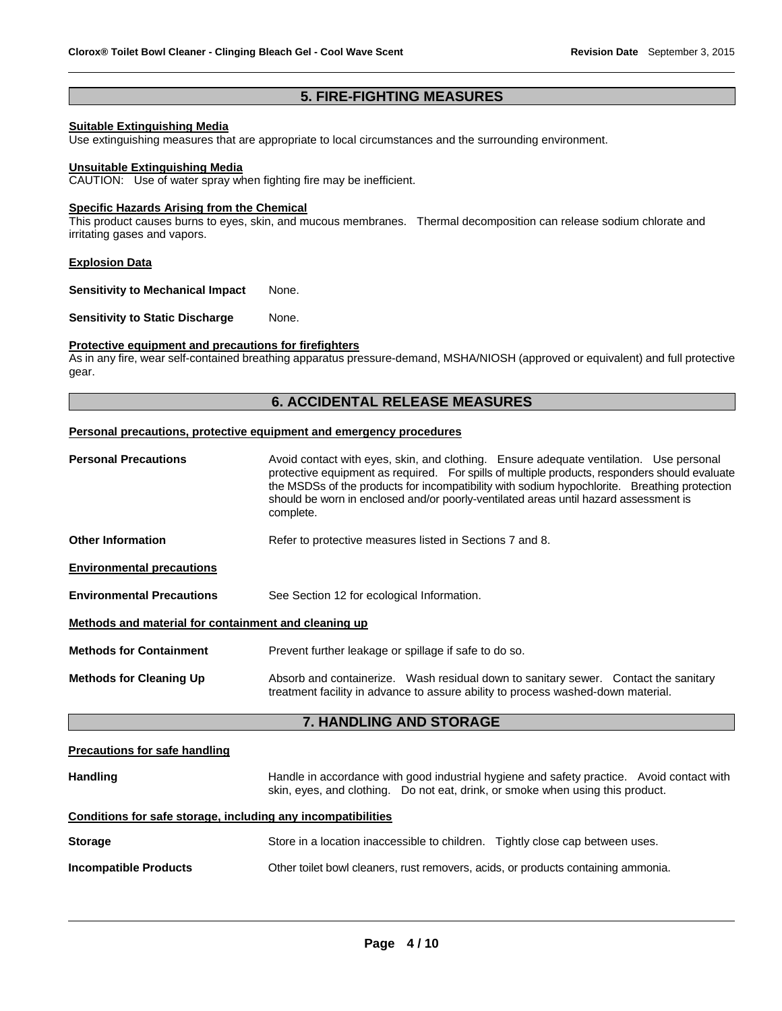# **5. FIRE-FIGHTING MEASURES**

# **Suitable Extinguishing Media**

Use extinguishing measures that are appropriate to local circumstances and the surrounding environment.

#### **Unsuitable Extinguishing Media**

CAUTION: Use of water spray when fighting fire may be inefficient.

#### **Specific Hazards Arising from the Chemical**

This product causes burns to eyes, skin, and mucous membranes. Thermal decomposition can release sodium chlorate and irritating gases and vapors.

#### **Explosion Data**

**Sensitivity to Mechanical Impact None.** 

**Sensitivity to Static Discharge Mone.** 

# **Protective equipment and precautions for firefighters**

As in any fire, wear self-contained breathing apparatus pressure-demand, MSHA/NIOSH (approved or equivalent) and full protective gear.

# **6. ACCIDENTAL RELEASE MEASURES**

#### **Personal precautions, protective equipment and emergency procedures**

| <b>Personal Precautions</b>                          | Avoid contact with eyes, skin, and clothing. Ensure adequate ventilation. Use personal<br>protective equipment as required. For spills of multiple products, responders should evaluate<br>the MSDSs of the products for incompatibility with sodium hypochlorite. Breathing protection<br>should be worn in enclosed and/or poorly-ventilated areas until hazard assessment is<br>complete. |  |  |  |
|------------------------------------------------------|----------------------------------------------------------------------------------------------------------------------------------------------------------------------------------------------------------------------------------------------------------------------------------------------------------------------------------------------------------------------------------------------|--|--|--|
| <b>Other Information</b>                             | Refer to protective measures listed in Sections 7 and 8.                                                                                                                                                                                                                                                                                                                                     |  |  |  |
| <b>Environmental precautions</b>                     |                                                                                                                                                                                                                                                                                                                                                                                              |  |  |  |
| <b>Environmental Precautions</b>                     | See Section 12 for ecological Information.                                                                                                                                                                                                                                                                                                                                                   |  |  |  |
| Methods and material for containment and cleaning up |                                                                                                                                                                                                                                                                                                                                                                                              |  |  |  |
| <b>Methods for Containment</b>                       | Prevent further leakage or spillage if safe to do so.                                                                                                                                                                                                                                                                                                                                        |  |  |  |
| <b>Methods for Cleaning Up</b>                       | Absorb and containerize. Wash residual down to sanitary sewer. Contact the sanitary<br>treatment facility in advance to assure ability to process washed-down material.                                                                                                                                                                                                                      |  |  |  |
|                                                      | 7. HANDLING AND STORAGE                                                                                                                                                                                                                                                                                                                                                                      |  |  |  |
| Procautione for eafo handling                        |                                                                                                                                                                                                                                                                                                                                                                                              |  |  |  |

#### **Precautions for safe handling**

| <b>Handling</b> | Handle in accordance with good industrial hygiene and safety practice. Avoid contact with |  |
|-----------------|-------------------------------------------------------------------------------------------|--|
|                 | skin, eyes, and clothing.  Do not eat, drink, or smoke when using this product.           |  |

# **Conditions for safe storage, including any incompatibilities**

| <b>Storage</b>               | Store in a location inaccessible to children. Tightly close cap between uses.     |  |
|------------------------------|-----------------------------------------------------------------------------------|--|
| <b>Incompatible Products</b> | Other toilet bowl cleaners, rust removers, acids, or products containing ammonia. |  |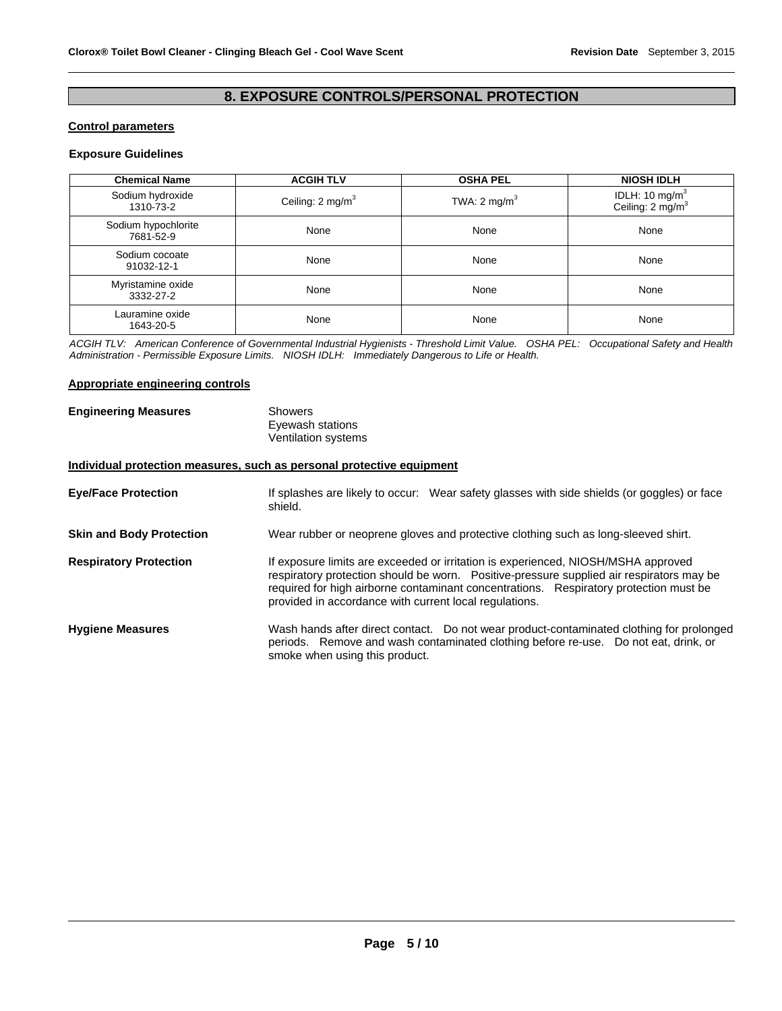# **8. EXPOSURE CONTROLS/PERSONAL PROTECTION**

#### **Control parameters**

# **Exposure Guidelines**

| <b>Chemical Name</b>             | <b>ACGIH TLV</b>            | <b>OSHA PEL</b>         | <b>NIOSH IDLH</b>                                 |
|----------------------------------|-----------------------------|-------------------------|---------------------------------------------------|
| Sodium hydroxide<br>1310-73-2    | Ceiling: $2 \text{ mg/m}^3$ | TWA: $2 \text{ mg/m}^3$ | IDLH: 10 mg/m $^3$<br>Ceiling: $2 \text{ mg/m}^3$ |
| Sodium hypochlorite<br>7681-52-9 | None                        | None                    | None                                              |
| Sodium cocoate<br>91032-12-1     | None                        | None                    | None                                              |
| Myristamine oxide<br>3332-27-2   | None                        | None                    | None                                              |
| Lauramine oxide<br>1643-20-5     | None                        | None                    | None                                              |

*ACGIH TLV: American Conference of Governmental Industrial Hygienists - Threshold Limit Value. OSHA PEL: Occupational Safety and Health Administration - Permissible Exposure Limits. NIOSH IDLH: Immediately Dangerous to Life or Health.* 

## **Appropriate engineering controls**

| <b>Engineering Measures</b> | Showers             |
|-----------------------------|---------------------|
|                             | Eyewash stations    |
|                             | Ventilation systems |

# **Individual protection measures, such as personal protective equipment**

| <b>Eye/Face Protection</b>      | If splashes are likely to occur: Wear safety glasses with side shields (or goggles) or face<br>shield.                                                                                                                                                                                                                           |  |  |
|---------------------------------|----------------------------------------------------------------------------------------------------------------------------------------------------------------------------------------------------------------------------------------------------------------------------------------------------------------------------------|--|--|
| <b>Skin and Body Protection</b> | Wear rubber or neoprene gloves and protective clothing such as long-sleeved shirt.                                                                                                                                                                                                                                               |  |  |
| <b>Respiratory Protection</b>   | If exposure limits are exceeded or irritation is experienced, NIOSH/MSHA approved<br>respiratory protection should be worn. Positive-pressure supplied air respirators may be<br>required for high airborne contaminant concentrations. Respiratory protection must be<br>provided in accordance with current local regulations. |  |  |
| <b>Hygiene Measures</b>         | Wash hands after direct contact. Do not wear product-contaminated clothing for prolonged<br>periods. Remove and wash contaminated clothing before re-use. Do not eat, drink, or<br>smoke when using this product.                                                                                                                |  |  |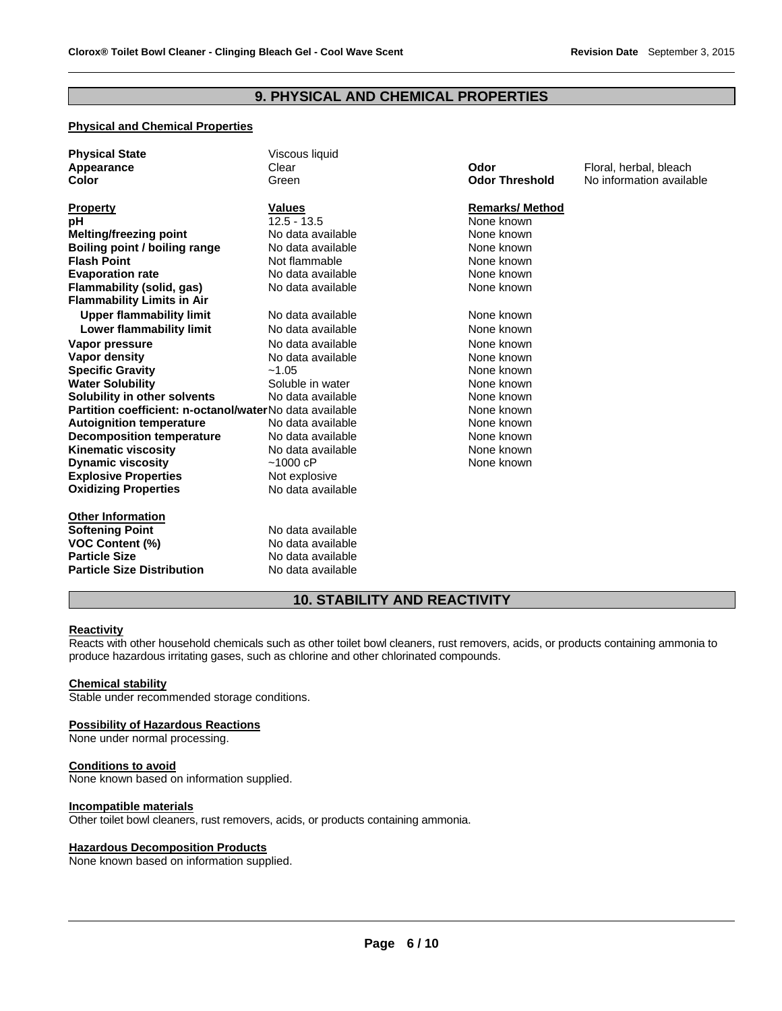# **9. PHYSICAL AND CHEMICAL PROPERTIES**

# **Physical and Chemical Properties**

| <b>Physical State</b>                                   | Viscous liquid    |                       |                          |
|---------------------------------------------------------|-------------------|-----------------------|--------------------------|
| Appearance                                              | Clear             | Odor                  | Floral, herbal, bleach   |
| Color                                                   | Green             | <b>Odor Threshold</b> | No information available |
| <b>Property</b>                                         | <b>Values</b>     | <b>Remarks/Method</b> |                          |
| рH                                                      | $12.5 - 13.5$     | None known            |                          |
| <b>Melting/freezing point</b>                           | No data available | None known            |                          |
| Boiling point / boiling range                           | No data available | None known            |                          |
| <b>Flash Point</b>                                      | Not flammable     | None known            |                          |
| <b>Evaporation rate</b>                                 | No data available | None known            |                          |
| <b>Flammability (solid, gas)</b>                        | No data available | None known            |                          |
| <b>Flammability Limits in Air</b>                       |                   |                       |                          |
| <b>Upper flammability limit</b>                         | No data available | None known            |                          |
| <b>Lower flammability limit</b>                         | No data available | None known            |                          |
| Vapor pressure                                          | No data available | None known            |                          |
| Vapor density                                           | No data available | None known            |                          |
| <b>Specific Gravity</b>                                 | $-1.05$           | None known            |                          |
| <b>Water Solubility</b>                                 | Soluble in water  | None known            |                          |
| Solubility in other solvents                            | No data available | None known            |                          |
| Partition coefficient: n-octanol/waterNo data available |                   | None known            |                          |
| <b>Autoignition temperature</b>                         | No data available | None known            |                          |
| <b>Decomposition temperature</b>                        | No data available | None known            |                          |
| <b>Kinematic viscosity</b>                              | No data available | None known            |                          |
| <b>Dynamic viscosity</b>                                | ~1000~cP          | None known            |                          |
| <b>Explosive Properties</b>                             | Not explosive     |                       |                          |
| <b>Oxidizing Properties</b>                             | No data available |                       |                          |
| <b>Other Information</b>                                |                   |                       |                          |
| <b>Softening Point</b>                                  | No data available |                       |                          |
| <b>VOC Content (%)</b>                                  | No data available |                       |                          |
| <b>Particle Size</b>                                    | No data available |                       |                          |
| <b>Particle Size Distribution</b>                       | No data available |                       |                          |

# **10. STABILITY AND REACTIVITY**

## **Reactivity**

Reacts with other household chemicals such as other toilet bowl cleaners, rust removers, acids, or products containing ammonia to produce hazardous irritating gases, such as chlorine and other chlorinated compounds.

#### **Chemical stability**

Stable under recommended storage conditions.

#### **Possibility of Hazardous Reactions**

None under normal processing.

#### **Conditions to avoid**

None known based on information supplied.

# **Incompatible materials**

Other toilet bowl cleaners, rust removers, acids, or products containing ammonia.

#### **Hazardous Decomposition Products**

None known based on information supplied.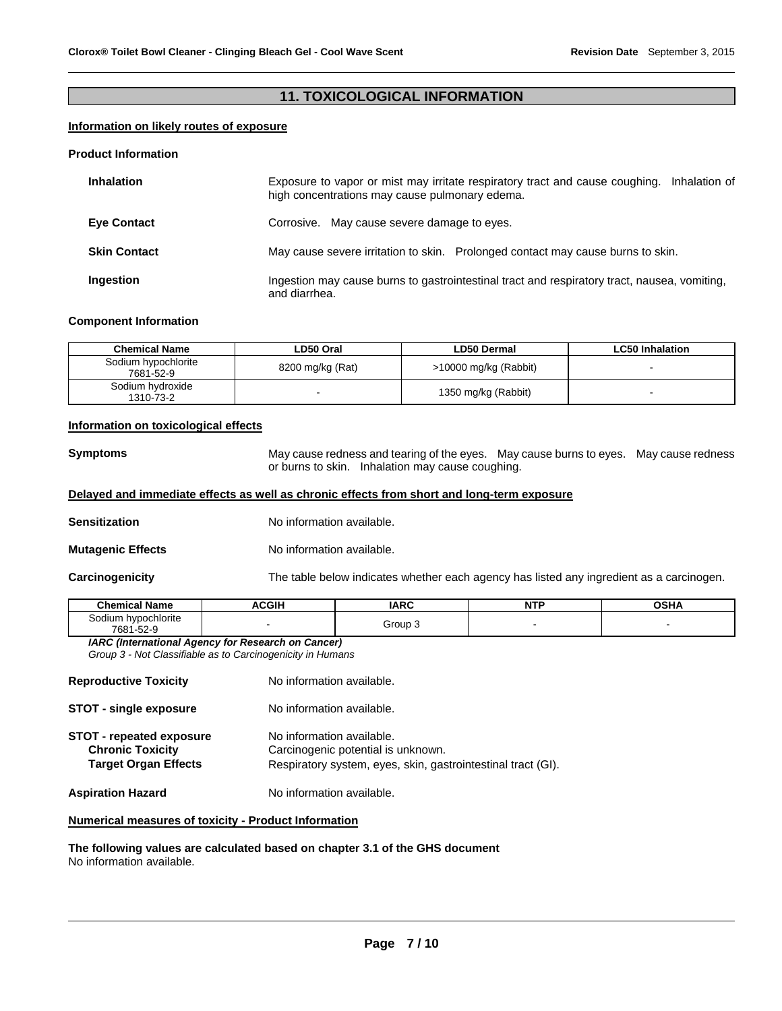# **11. TOXICOLOGICAL INFORMATION**

# **Information on likely routes of exposure**

#### **Product Information**

| <b>Inhalation</b>   | Exposure to vapor or mist may irritate respiratory tract and cause coughing. Inhalation of<br>high concentrations may cause pulmonary edema. |
|---------------------|----------------------------------------------------------------------------------------------------------------------------------------------|
| <b>Eye Contact</b>  | Corrosive. May cause severe damage to eyes.                                                                                                  |
| <b>Skin Contact</b> | May cause severe irritation to skin. Prolonged contact may cause burns to skin.                                                              |
| Ingestion           | Ingestion may cause burns to gastrointestinal tract and respiratory tract, nausea, vomiting,<br>and diarrhea.                                |

#### **Component Information**

| Chemical Name                    | LD50 Oral        | <b>LD50 Dermal</b>    | <b>LC50 Inhalation</b> |
|----------------------------------|------------------|-----------------------|------------------------|
| Sodium hypochlorite<br>7681-52-9 | 8200 mg/kg (Rat) | >10000 mg/kg (Rabbit) |                        |
| Sodium hydroxide<br>1310-73-2    |                  | 1350 mg/kg (Rabbit)   |                        |

#### **Information on toxicological effects**

**Symptoms** May cause redness and tearing of the eyes. May cause burns to eyes. May cause redness or burns to skin. Inhalation may cause coughing.

## **Delayed and immediate effects as well as chronic effects from short and long-term exposure**

- **Sensitization No information available.**
- **Mutagenic Effects No information available.**

**Carcinogenicity** The table below indicates whether each agency has listed any ingredient as a carcinogen.

| <b>Chemical Name</b>             | <b>ACGIH</b> | <b>IARC</b> | NTF<br>. | <b>OSHA</b> |
|----------------------------------|--------------|-------------|----------|-------------|
| Sodium hypochlorite<br>7681-52-9 |              | Group 3     |          |             |

*IARC (International Agency for Research on Cancer) Group 3 - Not Classifiable as to Carcinogenicity in Humans* 

| <b>Reproductive Toxicity</b>                                                              | No information available.                                                                                                       |
|-------------------------------------------------------------------------------------------|---------------------------------------------------------------------------------------------------------------------------------|
| <b>STOT - single exposure</b>                                                             | No information available.                                                                                                       |
| <b>STOT - repeated exposure</b><br><b>Chronic Toxicity</b><br><b>Target Organ Effects</b> | No information available.<br>Carcinogenic potential is unknown.<br>Respiratory system, eyes, skin, gastrointestinal tract (GI). |
| <b>Aspiration Hazard</b>                                                                  | No information available.                                                                                                       |

# **Numerical measures of toxicity - Product Information**

**The following values are calculated based on chapter 3.1 of the GHS document** No information available.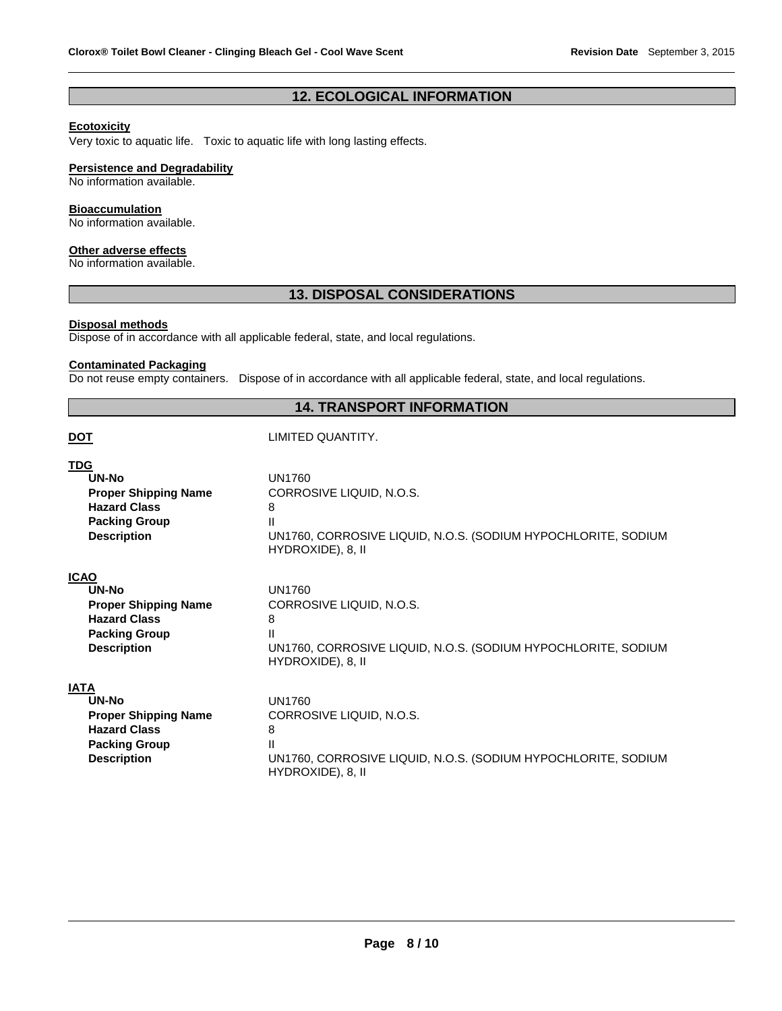# **12. ECOLOGICAL INFORMATION**

# **Ecotoxicity**

Very toxic to aquatic life. Toxic to aquatic life with long lasting effects.

#### **Persistence and Degradability**

No information available.

### **Bioaccumulation**

No information available.

#### **Other adverse effects**

No information available.

# **13. DISPOSAL CONSIDERATIONS**

# **Disposal methods**

Dispose of in accordance with all applicable federal, state, and local regulations.

# **Contaminated Packaging**

Do not reuse empty containers. Dispose of in accordance with all applicable federal, state, and local regulations.

# **14. TRANSPORT INFORMATION**

## LIMITED QUANTITY.

| TDG                         |                                                                                    |
|-----------------------------|------------------------------------------------------------------------------------|
| UN-No                       | <b>UN1760</b>                                                                      |
| <b>Proper Shipping Name</b> | CORROSIVE LIQUID, N.O.S.                                                           |
| <b>Hazard Class</b>         | 8                                                                                  |
| <b>Packing Group</b>        | Ш                                                                                  |
| <b>Description</b>          | UN1760, CORROSIVE LIQUID, N.O.S. (SODIUM HYPOCHLORITE, SODIUM<br>HYDROXIDE), 8, II |
| <b>ICAO</b>                 |                                                                                    |
| UN-No                       | UN1760                                                                             |
| <b>Proper Shipping Name</b> | CORROSIVE LIQUID, N.O.S.                                                           |
| <b>Hazard Class</b>         | 8                                                                                  |
| <b>Packing Group</b>        | Ш                                                                                  |
| <b>Description</b>          | UN1760, CORROSIVE LIQUID, N.O.S. (SODIUM HYPOCHLORITE, SODIUM<br>HYDROXIDE), 8, II |
| <b>IATA</b>                 |                                                                                    |
| UN-No                       | UN1760                                                                             |
| <b>Proper Shipping Name</b> | CORROSIVE LIQUID, N.O.S.                                                           |
| <b>Hazard Class</b>         | 8                                                                                  |
| <b>Packing Group</b>        | Ш                                                                                  |
| <b>Description</b>          | UN1760, CORROSIVE LIQUID, N.O.S. (SODIUM HYPOCHLORITE, SODIUM<br>HYDROXIDE), 8, II |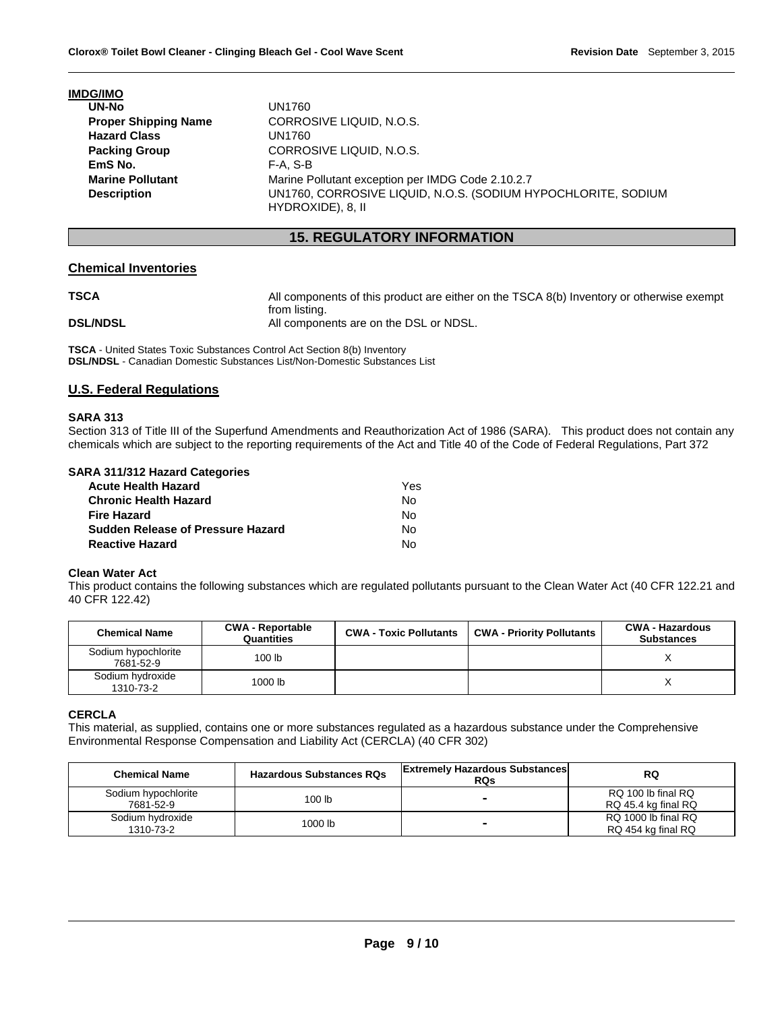|  | <b>IMDG/IMO</b> |  |  |
|--|-----------------|--|--|
|  |                 |  |  |

| UN-No                       | UN1760                                                                             |
|-----------------------------|------------------------------------------------------------------------------------|
| <b>Proper Shipping Name</b> | CORROSIVE LIQUID, N.O.S.                                                           |
| <b>Hazard Class</b>         | UN1760                                                                             |
| <b>Packing Group</b>        | CORROSIVE LIQUID, N.O.S.                                                           |
| EmS No.                     | $F-A. S-B$                                                                         |
| <b>Marine Pollutant</b>     | Marine Pollutant exception per IMDG Code 2.10.2.7                                  |
| <b>Description</b>          | UN1760, CORROSIVE LIQUID, N.O.S. (SODIUM HYPOCHLORITE, SODIUM<br>HYDROXIDE), 8, II |

# **15. REGULATORY INFORMATION**

## **Chemical Inventories**

**TSCA All components of this product are either on the TSCA 8(b) Inventory or otherwise exempt** 

from listing. **DSL/NDSL All components are on the DSL or NDSL.** 

**TSCA** - United States Toxic Substances Control Act Section 8(b) Inventory **DSL/NDSL** - Canadian Domestic Substances List/Non-Domestic Substances List

# **U.S. Federal Regulations**

## **SARA 313**

Section 313 of Title III of the Superfund Amendments and Reauthorization Act of 1986 (SARA). This product does not contain any chemicals which are subject to the reporting requirements of the Act and Title 40 of the Code of Federal Regulations, Part 372

## **SARA 311/312 Hazard Categories**

| Acute Health Hazard               | Yes |
|-----------------------------------|-----|
| Chronic Health Hazard             | N٥  |
| Fire Hazard                       | No. |
| Sudden Release of Pressure Hazard | N٥  |
| <b>Reactive Hazard</b>            | N٥  |

#### **Clean Water Act**

This product contains the following substances which are regulated pollutants pursuant to the Clean Water Act (40 CFR 122.21 and 40 CFR 122.42)

| <b>Chemical Name</b>             | <b>CWA - Reportable</b><br>Quantities | <b>CWA - Toxic Pollutants</b> | <b>CWA - Priority Pollutants</b> | <b>CWA - Hazardous</b><br><b>Substances</b> |
|----------------------------------|---------------------------------------|-------------------------------|----------------------------------|---------------------------------------------|
| Sodium hypochlorite<br>7681-52-9 | 100 <sub>lb</sub>                     |                               |                                  |                                             |
| Sodium hydroxide<br>1310-73-2    | 1000 lb                               |                               |                                  |                                             |

## **CERCLA**

This material, as supplied, contains one or more substances regulated as a hazardous substance under the Comprehensive Environmental Response Compensation and Liability Act (CERCLA) (40 CFR 302)

| <b>Chemical Name</b>             | <b>Hazardous Substances RQs</b> | <b>Extremely Hazardous Substances</b><br><b>RQs</b> | <b>RQ</b>                                 |
|----------------------------------|---------------------------------|-----------------------------------------------------|-------------------------------------------|
| Sodium hypochlorite<br>7681-52-9 | 100 <sub>lb</sub>               | -                                                   | RQ 100 lb final RQ<br>RQ 45.4 kg final RQ |
| Sodium hydroxide<br>1310-73-2    | 1000 lb                         | -                                                   | RQ 1000 lb final RQ<br>RQ 454 kg final RQ |